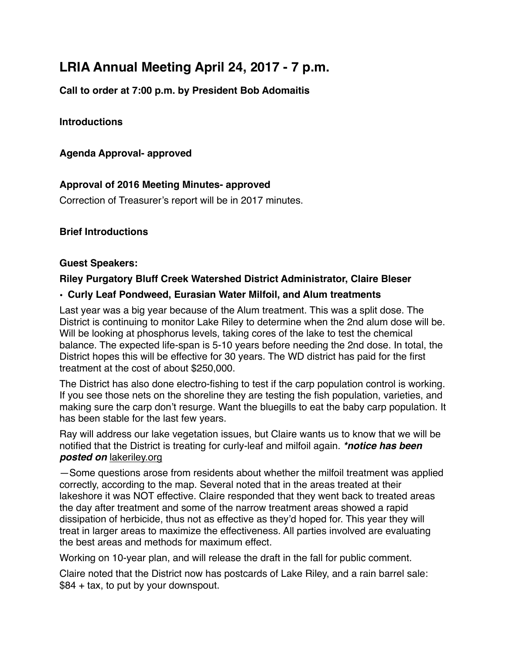# **LRIA Annual Meeting April 24, 2017 - 7 p.m.**

**Call to order at 7:00 p.m. by President Bob Adomaitis** 

# **Introductions**

# **Agenda Approval- approved**

# **Approval of 2016 Meeting Minutes- approved**

Correction of Treasurer's report will be in 2017 minutes.

## **Brief Introductions**

#### **Guest Speakers:**

## **Riley Purgatory Bluff Creek Watershed District Administrator, Claire Bleser**

## **• Curly Leaf Pondweed, Eurasian Water Milfoil, and Alum treatments**

Last year was a big year because of the Alum treatment. This was a split dose. The District is continuing to monitor Lake Riley to determine when the 2nd alum dose will be. Will be looking at phosphorus levels, taking cores of the lake to test the chemical balance. The expected life-span is 5-10 years before needing the 2nd dose. In total, the District hopes this will be effective for 30 years. The WD district has paid for the first treatment at the cost of about \$250,000.

The District has also done electro-fishing to test if the carp population control is working. If you see those nets on the shoreline they are testing the fish population, varieties, and making sure the carp don't resurge. Want the bluegills to eat the baby carp population. It has been stable for the last few years.

Ray will address our lake vegetation issues, but Claire wants us to know that we will be notified that the District is treating for curly-leaf and milfoil again. *\*notice has been posted on lakeriley.org* 

—Some questions arose from residents about whether the milfoil treatment was applied correctly, according to the map. Several noted that in the areas treated at their lakeshore it was NOT effective. Claire responded that they went back to treated areas the day after treatment and some of the narrow treatment areas showed a rapid dissipation of herbicide, thus not as effective as they'd hoped for. This year they will treat in larger areas to maximize the effectiveness. All parties involved are evaluating the best areas and methods for maximum effect.

Working on 10-year plan, and will release the draft in the fall for public comment.

Claire noted that the District now has postcards of Lake Riley, and a rain barrel sale: \$84 + tax, to put by your downspout.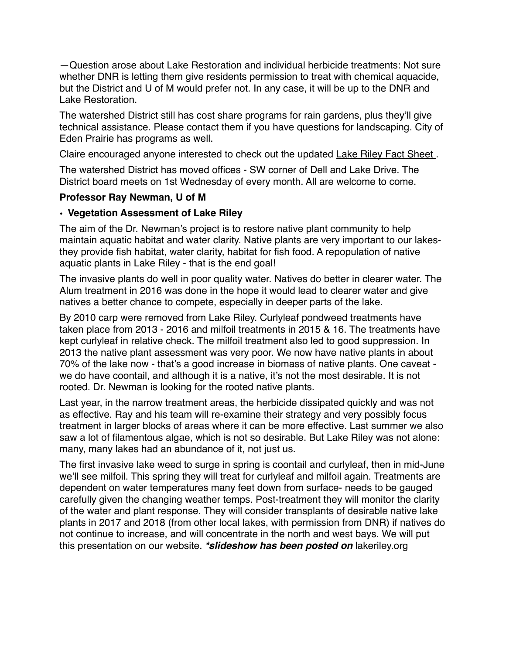—Question arose about Lake Restoration and individual herbicide treatments: Not sure whether DNR is letting them give residents permission to treat with chemical aquacide, but the District and U of M would prefer not. In any case, it will be up to the DNR and Lake Restoration.

The watershed District still has cost share programs for rain gardens, plus they'll give technical assistance. Please contact them if you have questions for landscaping. City of Eden Prairie has programs as well.

Claire encouraged anyone interested to check out the updated Lake Riley Fact Sheet .

The watershed District has moved offices - SW corner of Dell and Lake Drive. The District board meets on 1st Wednesday of every month. All are welcome to come.

## **Professor Ray Newman, U of M**

## **• Vegetation Assessment of Lake Riley**

The aim of the Dr. Newman's project is to restore native plant community to help maintain aquatic habitat and water clarity. Native plants are very important to our lakesthey provide fish habitat, water clarity, habitat for fish food. A repopulation of native aquatic plants in Lake Riley - that is the end goal!

The invasive plants do well in poor quality water. Natives do better in clearer water. The Alum treatment in 2016 was done in the hope it would lead to clearer water and give natives a better chance to compete, especially in deeper parts of the lake.

By 2010 carp were removed from Lake Riley. Curlyleaf pondweed treatments have taken place from 2013 - 2016 and milfoil treatments in 2015 & 16. The treatments have kept curlyleaf in relative check. The milfoil treatment also led to good suppression. In 2013 the native plant assessment was very poor. We now have native plants in about 70% of the lake now - that's a good increase in biomass of native plants. One caveat we do have coontail, and although it is a native, it's not the most desirable. It is not rooted. Dr. Newman is looking for the rooted native plants.

Last year, in the narrow treatment areas, the herbicide dissipated quickly and was not as effective. Ray and his team will re-examine their strategy and very possibly focus treatment in larger blocks of areas where it can be more effective. Last summer we also saw a lot of filamentous algae, which is not so desirable. But Lake Riley was not alone: many, many lakes had an abundance of it, not just us.

The first invasive lake weed to surge in spring is coontail and curlyleaf, then in mid-June we'll see milfoil. This spring they will treat for curlyleaf and milfoil again. Treatments are dependent on water temperatures many feet down from surface- needs to be gauged carefully given the changing weather temps. Post-treatment they will monitor the clarity of the water and plant response. They will consider transplants of desirable native lake plants in 2017 and 2018 (from other local lakes, with permission from DNR) if natives do not continue to increase, and will concentrate in the north and west bays. We will put this presentation on our website. *\*slideshow has been posted on* lakeriley.org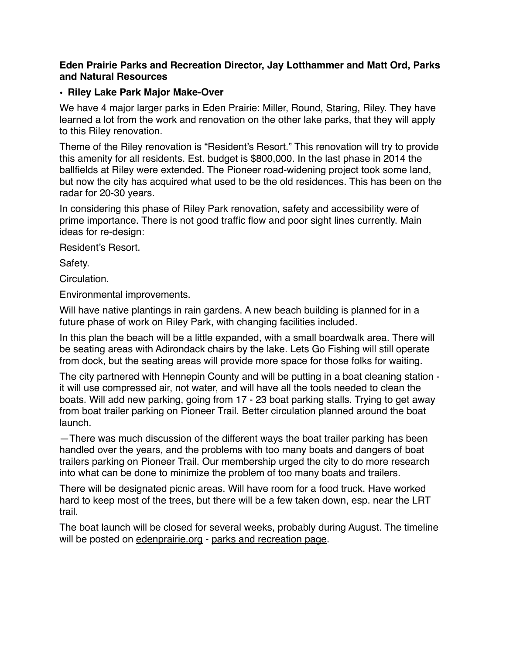#### **Eden Prairie Parks and Recreation Director, Jay Lotthammer and Matt Ord, Parks and Natural Resources**

#### **• Riley Lake Park Major Make-Over**

We have 4 major larger parks in Eden Prairie: Miller, Round, Staring, Riley. They have learned a lot from the work and renovation on the other lake parks, that they will apply to this Riley renovation.

Theme of the Riley renovation is "Resident's Resort." This renovation will try to provide this amenity for all residents. Est. budget is \$800,000. In the last phase in 2014 the ballfields at Riley were extended. The Pioneer road-widening project took some land, but now the city has acquired what used to be the old residences. This has been on the radar for 20-30 years.

In considering this phase of Riley Park renovation, safety and accessibility were of prime importance. There is not good traffic flow and poor sight lines currently. Main ideas for re-design:

Resident's Resort.

Safety.

Circulation.

Environmental improvements.

Will have native plantings in rain gardens. A new beach building is planned for in a future phase of work on Riley Park, with changing facilities included.

In this plan the beach will be a little expanded, with a small boardwalk area. There will be seating areas with Adirondack chairs by the lake. Lets Go Fishing will still operate from dock, but the seating areas will provide more space for those folks for waiting.

The city partnered with Hennepin County and will be putting in a boat cleaning station it will use compressed air, not water, and will have all the tools needed to clean the boats. Will add new parking, going from 17 - 23 boat parking stalls. Trying to get away from boat trailer parking on Pioneer Trail. Better circulation planned around the boat launch.

—There was much discussion of the different ways the boat trailer parking has been handled over the years, and the problems with too many boats and dangers of boat trailers parking on Pioneer Trail. Our membership urged the city to do more research into what can be done to minimize the problem of too many boats and trailers.

There will be designated picnic areas. Will have room for a food truck. Have worked hard to keep most of the trees, but there will be a few taken down, esp. near the LRT trail.

The boat launch will be closed for several weeks, probably during August. The timeline will be posted on edenprairie.org - parks and recreation page.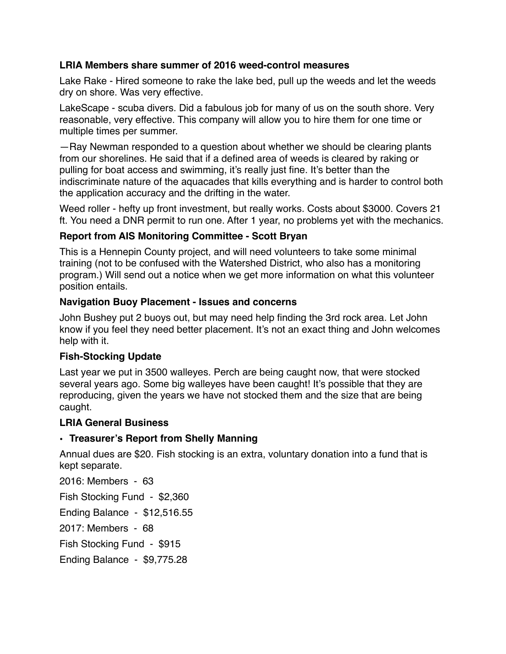### **LRIA Members share summer of 2016 weed-control measures**

Lake Rake - Hired someone to rake the lake bed, pull up the weeds and let the weeds dry on shore. Was very effective.

LakeScape - scuba divers. Did a fabulous job for many of us on the south shore. Very reasonable, very effective. This company will allow you to hire them for one time or multiple times per summer.

—Ray Newman responded to a question about whether we should be clearing plants from our shorelines. He said that if a defined area of weeds is cleared by raking or pulling for boat access and swimming, it's really just fine. It's better than the indiscriminate nature of the aquacades that kills everything and is harder to control both the application accuracy and the drifting in the water.

Weed roller - hefty up front investment, but really works. Costs about \$3000. Covers 21 ft. You need a DNR permit to run one. After 1 year, no problems yet with the mechanics.

## **Report from AIS Monitoring Committee - Scott Bryan**

This is a Hennepin County project, and will need volunteers to take some minimal training (not to be confused with the Watershed District, who also has a monitoring program.) Will send out a notice when we get more information on what this volunteer position entails.

#### **Navigation Buoy Placement - Issues and concerns**

John Bushey put 2 buoys out, but may need help finding the 3rd rock area. Let John know if you feel they need better placement. It's not an exact thing and John welcomes help with it.

# **Fish-Stocking Update**

Last year we put in 3500 walleyes. Perch are being caught now, that were stocked several years ago. Some big walleyes have been caught! It's possible that they are reproducing, given the years we have not stocked them and the size that are being caught.

#### **LRIA General Business**

# **• Treasurer's Report from Shelly Manning**

Annual dues are \$20. Fish stocking is an extra, voluntary donation into a fund that is kept separate.

2016: Members - 63 Fish Stocking Fund - \$2,360 Ending Balance - \$12,516.55 2017: Members - 68 Fish Stocking Fund - \$915 Ending Balance - \$9,775.28